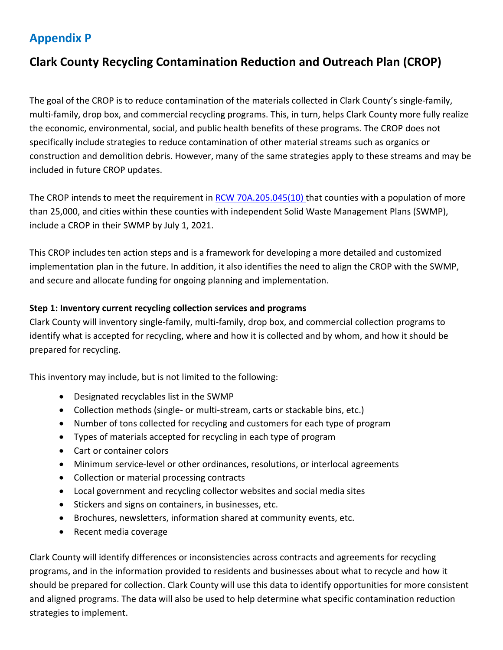## **Appendix P**

# **Clark County Recycling Contamination Reduction and Outreach Plan (CROP)**

The goal of the CROP is to reduce contamination of the materials collected in Clark County's single-family, multi-family, drop box, and commercial recycling programs. This, in turn, helps Clark County more fully realize the economic, environmental, social, and public health benefits of these programs. The CROP does not specifically include strategies to reduce contamination of other material streams such as organics or construction and demolition debris. However, many of the same strategies apply to these streams and may be included in future CROP updates.

The CROP intends to meet the requirement in [RCW 70A.205.045\(10\)](https://app.leg.wa.gov/rcw/default.aspx?cite=70A.205.045) that counties with a population of more than 25,000, and cities within these counties with independent Solid Waste Management Plans (SWMP), include a CROP in their SWMP by July 1, 2021.

This CROP includes ten action steps and is a framework for developing a more detailed and customized implementation plan in the future. In addition, it also identifies the need to align the CROP with the SWMP, and secure and allocate funding for ongoing planning and implementation.

### **Step 1: Inventory current recycling collection services and programs**

Clark County will inventory single-family, multi-family, drop box, and commercial collection programs to identify what is accepted for recycling, where and how it is collected and by whom, and how it should be prepared for recycling.

This inventory may include, but is not limited to the following:

- Designated recyclables list in the SWMP
- Collection methods (single- or multi-stream, carts or stackable bins, etc.)
- Number of tons collected for recycling and customers for each type of program
- Types of materials accepted for recycling in each type of program
- Cart or container colors
- Minimum service-level or other ordinances, resolutions, or interlocal agreements
- Collection or material processing contracts
- Local government and recycling collector websites and social media sites
- Stickers and signs on containers, in businesses, etc.
- Brochures, newsletters, information shared at community events, etc.
- Recent media coverage

Clark County will identify differences or inconsistencies across contracts and agreements for recycling programs, and in the information provided to residents and businesses about what to recycle and how it should be prepared for collection. Clark County will use this data to identify opportunities for more consistent and aligned programs. The data will also be used to help determine what specific contamination reduction strategies to implement.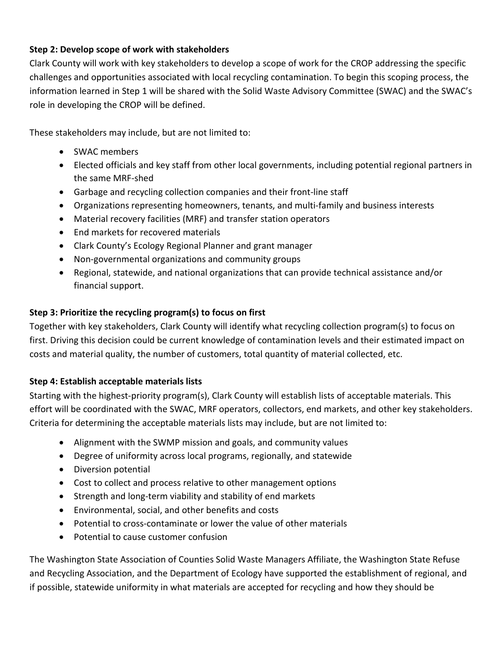## **Step 2: Develop scope of work with stakeholders**

Clark County will work with key stakeholders to develop a scope of work for the CROP addressing the specific challenges and opportunities associated with local recycling contamination. To begin this scoping process, the information learned in Step 1 will be shared with the Solid Waste Advisory Committee (SWAC) and the SWAC's role in developing the CROP will be defined.

These stakeholders may include, but are not limited to:

- SWAC members
- Elected officials and key staff from other local governments, including potential regional partners in the same MRF-shed
- Garbage and recycling collection companies and their front-line staff
- Organizations representing homeowners, tenants, and multi-family and business interests
- Material recovery facilities (MRF) and transfer station operators
- End markets for recovered materials
- Clark County's Ecology Regional Planner and grant manager
- Non-governmental organizations and community groups
- Regional, statewide, and national organizations that can provide technical assistance and/or financial support.

### **Step 3: Prioritize the recycling program(s) to focus on first**

Together with key stakeholders, Clark County will identify what recycling collection program(s) to focus on first. Driving this decision could be current knowledge of contamination levels and their estimated impact on costs and material quality, the number of customers, total quantity of material collected, etc.

### **Step 4: Establish acceptable materials lists**

Starting with the highest-priority program(s), Clark County will establish lists of acceptable materials. This effort will be coordinated with the SWAC, MRF operators, collectors, end markets, and other key stakeholders. Criteria for determining the acceptable materials lists may include, but are not limited to:

- Alignment with the SWMP mission and goals, and community values
- Degree of uniformity across local programs, regionally, and statewide
- Diversion potential
- Cost to collect and process relative to other management options
- Strength and long-term viability and stability of end markets
- Environmental, social, and other benefits and costs
- Potential to cross-contaminate or lower the value of other materials
- Potential to cause customer confusion

The Washington State Association of Counties Solid Waste Managers Affiliate, the Washington State Refuse and Recycling Association, and the Department of Ecology have supported the establishment of regional, and if possible, statewide uniformity in what materials are accepted for recycling and how they should be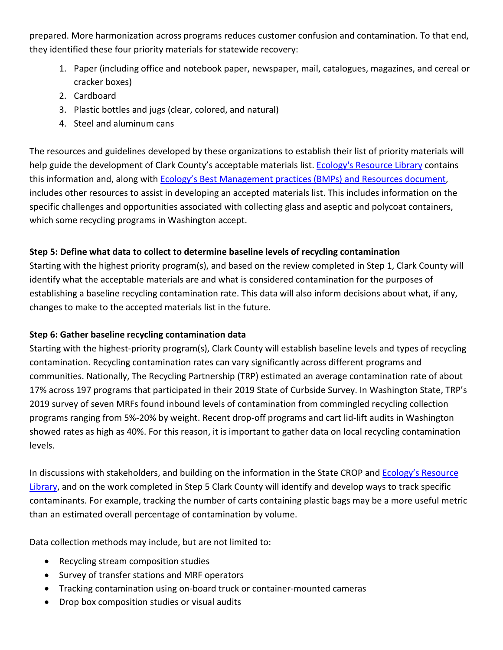prepared. More harmonization across programs reduces customer confusion and contamination. To that end, they identified these four priority materials for statewide recovery:

- 1. Paper (including office and notebook paper, newspaper, mail, catalogues, magazines, and cereal or cracker boxes)
- 2. Cardboard
- 3. Plastic bottles and jugs (clear, colored, and natural)
- 4. Steel and aluminum cans

The resources and guidelines developed by these organizations to establish their list of priority materials will help guide the development of Clark County's acceptable materials list. [Ecology's Resource Library](https://www.ezview.wa.gov/site/alias__1962/37664/recycling_contamination_reduction_resources.aspx) contains this information and, along with [Ecology's Best Management practices \(BMPs\)](https://fortress.wa.gov/ecy/publications/SummaryPages/2007031.html) and Resources document, includes other resources to assist in developing an accepted materials list. This includes information on the specific challenges and opportunities associated with collecting glass and aseptic and polycoat containers, which some recycling programs in Washington accept.

## **Step 5: Define what data to collect to determine baseline levels of recycling contamination**

Starting with the highest priority program(s), and based on the review completed in Step 1, Clark County will identify what the acceptable materials are and what is considered contamination for the purposes of establishing a baseline recycling contamination rate. This data will also inform decisions about what, if any, changes to make to the accepted materials list in the future.

## **Step 6: Gather baseline recycling contamination data**

Starting with the highest-priority program(s), Clark County will establish baseline levels and types of recycling contamination. Recycling contamination rates can vary significantly across different programs and communities. Nationally, The Recycling Partnership (TRP) estimated an average contamination rate of about 17% across 197 programs that participated in their 2019 State of Curbside Survey. In Washington State, TRP's 2019 survey of seven MRFs found inbound levels of contamination from commingled recycling collection programs ranging from 5%-20% by weight. Recent drop-off programs and cart lid-lift audits in Washington showed rates as high as 40%. For this reason, it is important to gather data on local recycling contamination levels.

In discussions with stakeholders, and building on the information in the State CROP and Ecology's Resource [Library,](https://www.ezview.wa.gov/site/alias__1962/37664/recycling_contamination_reduction_resources.aspx) and on the work completed in Step 5 Clark County will identify and develop ways to track specific contaminants. For example, tracking the number of carts containing plastic bags may be a more useful metric than an estimated overall percentage of contamination by volume.

Data collection methods may include, but are not limited to:

- Recycling stream composition studies
- Survey of transfer stations and MRF operators
- Tracking contamination using on-board truck or container-mounted cameras
- Drop box composition studies or visual audits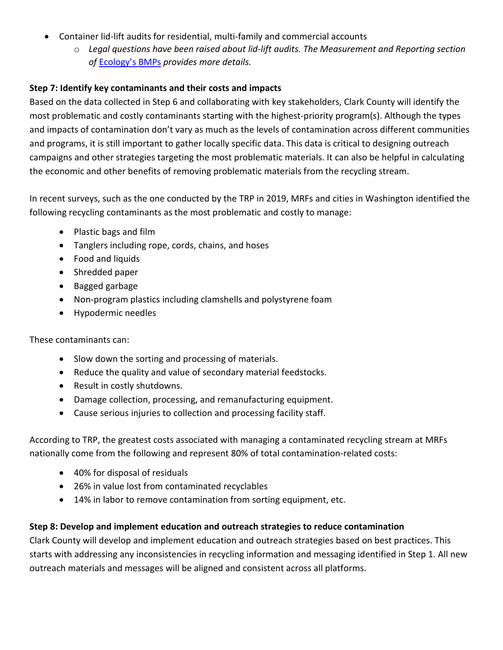- Container lid-lift audits for residential, multi-family and commercial accounts
	- o *Legal questions have been raised about lid-lift audits. The Measurement and Reporting section of* [Ecology's BMPs](https://fortress.wa.gov/ecy/publications/SummaryPages/2007031.html) *provides more details.*

### **Step 7: Identify key contaminants and their costs and impacts**

Based on the data collected in Step 6 and collaborating with key stakeholders, Clark County will identify the most problematic and costly contaminants starting with the highest-priority program(s). Although the types and impacts of contamination don't vary as much as the levels of contamination across different communities and programs, it is still important to gather locally specific data. This data is critical to designing outreach campaigns and other strategies targeting the most problematic materials. It can also be helpful in calculating the economic and other benefits of removing problematic materials from the recycling stream.

In recent surveys, such as the one conducted by the TRP in 2019, MRFs and cities in Washington identified the following recycling contaminants as the most problematic and costly to manage:

- Plastic bags and film
- Tanglers including rope, cords, chains, and hoses
- Food and liquids
- Shredded paper
- Bagged garbage
- Non-program plastics including clamshells and polystyrene foam
- Hypodermic needles

These contaminants can:

- Slow down the sorting and processing of materials.
- Reduce the quality and value of secondary material feedstocks.
- Result in costly shutdowns.
- Damage collection, processing, and remanufacturing equipment.
- Cause serious injuries to collection and processing facility staff.

According to TRP, the greatest costs associated with managing a contaminated recycling stream at MRFs nationally come from the following and represent 80% of total contamination-related costs:

- 40% for disposal of residuals
- 26% in value lost from contaminated recyclables
- 14% in labor to remove contamination from sorting equipment, etc.

### **Step 8: Develop and implement education and outreach strategies to reduce contamination**

Clark County will develop and implement education and outreach strategies based on best practices. This starts with addressing any inconsistencies in recycling information and messaging identified in Step 1. All new outreach materials and messages will be aligned and consistent across all platforms.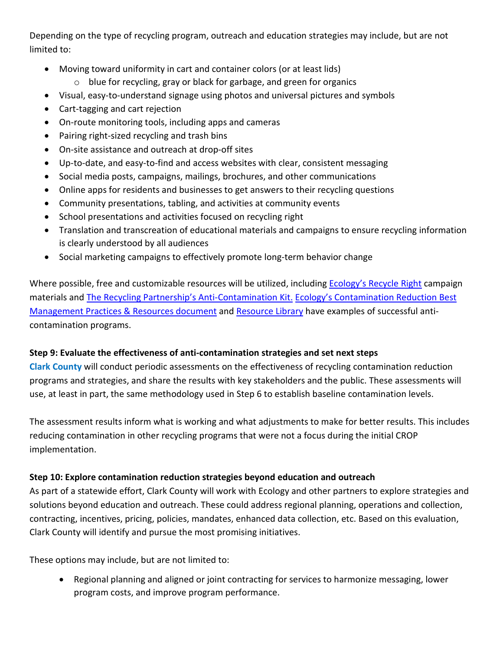Depending on the type of recycling program, outreach and education strategies may include, but are not limited to:

- Moving toward uniformity in cart and container colors (or at least lids)
	- o blue for recycling, gray or black for garbage, and green for organics
- Visual, easy-to-understand signage using photos and universal pictures and symbols
- Cart-tagging and cart rejection
- On-route monitoring tools, including apps and cameras
- Pairing right-sized recycling and trash bins
- On-site assistance and outreach at drop-off sites
- Up-to-date, and easy-to-find and access websites with clear, consistent messaging
- Social media posts, campaigns, mailings, brochures, and other communications
- Online apps for residents and businesses to get answers to their recycling questions
- Community presentations, tabling, and activities at community events
- School presentations and activities focused on recycling right
- Translation and transcreation of educational materials and campaigns to ensure recycling information is clearly understood by all audiences
- Social marketing campaigns to effectively promote long-term behavior change

Where possible, free and customizable resources will be utilized, including **Ecology's Recycle Right campaign** materials and [The Recycling Partnership's Anti-Contamination Kit.](https://recyclingpartnership.org/contamination-kit/) [Ecology's Contamination Reduction Best](https://fortress.wa.gov/ecy/publications/SummaryPages/2007031.html)  [Management Practices & Resources document](https://fortress.wa.gov/ecy/publications/SummaryPages/2007031.html) an[d Resource Library](https://www.ezview.wa.gov/site/alias__1962/37664/recycling_contamination_reduction_resources.aspx) have examples of successful anticontamination programs.

### **Step 9: Evaluate the effectiveness of anti-contamination strategies and set next steps**

**Clark County** will conduct periodic assessments on the effectiveness of recycling contamination reduction programs and strategies, and share the results with key stakeholders and the public. These assessments will use, at least in part, the same methodology used in Step 6 to establish baseline contamination levels.

The assessment results inform what is working and what adjustments to make for better results. This includes reducing contamination in other recycling programs that were not a focus during the initial CROP implementation.

### **Step 10: Explore contamination reduction strategies beyond education and outreach**

As part of a statewide effort, Clark County will work with Ecology and other partners to explore strategies and solutions beyond education and outreach. These could address regional planning, operations and collection, contracting, incentives, pricing, policies, mandates, enhanced data collection, etc. Based on this evaluation, Clark County will identify and pursue the most promising initiatives.

These options may include, but are not limited to:

• Regional planning and aligned or joint contracting for services to harmonize messaging, lower program costs, and improve program performance.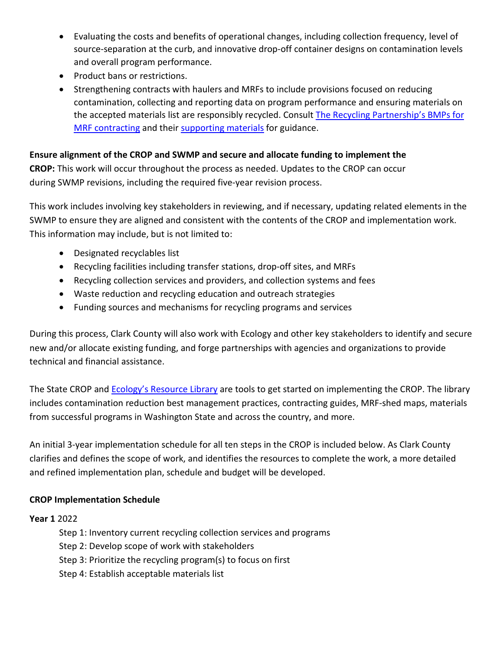- Evaluating the costs and benefits of operational changes, including collection frequency, level of source-separation at the curb, and innovative drop-off container designs on contamination levels and overall program performance.
- Product bans or restrictions.
- Strengthening contracts with haulers and MRFs to include provisions focused on reducing contamination, collecting and reporting data on program performance and ensuring materials on the accepted materials list are responsibly recycled. Consult The Recycling Partnership's BMPs for [MRF contracting](https://recyclingpartnership.org/mrf-contracts/) and their [supporting materials](https://www.youtube.com/watch?v=CiZTu7vJ1us) for guidance.

### **Ensure alignment of the CROP and SWMP and secure and allocate funding to implement the**

**CROP:** This work will occur throughout the process as needed. Updates to the CROP can occur during SWMP revisions, including the required five-year revision process.

This work includes involving key stakeholders in reviewing, and if necessary, updating related elements in the SWMP to ensure they are aligned and consistent with the contents of the CROP and implementation work. This information may include, but is not limited to:

- Designated recyclables list
- Recycling facilities including transfer stations, drop-off sites, and MRFs
- Recycling collection services and providers, and collection systems and fees
- Waste reduction and recycling education and outreach strategies
- Funding sources and mechanisms for recycling programs and services

During this process, Clark County will also work with Ecology and other key stakeholders to identify and secure new and/or allocate existing funding, and forge partnerships with agencies and organizations to provide technical and financial assistance.

The State CROP an[d Ecology's Resource Library](https://www.ezview.wa.gov/site/alias__1962/37664/recycling_contamination_reduction_resources.aspx) are tools to get started on implementing the CROP. The library includes contamination reduction best management practices, contracting guides, MRF-shed maps, materials from successful programs in Washington State and across the country, and more.

An initial 3-year implementation schedule for all ten steps in the CROP is included below. As Clark County clarifies and defines the scope of work, and identifies the resources to complete the work, a more detailed and refined implementation plan, schedule and budget will be developed.

### **CROP Implementation Schedule**

### **Year 1** 2022

- Step 1: Inventory current recycling collection services and programs
- Step 2: Develop scope of work with stakeholders
- Step 3: Prioritize the recycling program(s) to focus on first
- Step 4: Establish acceptable materials list